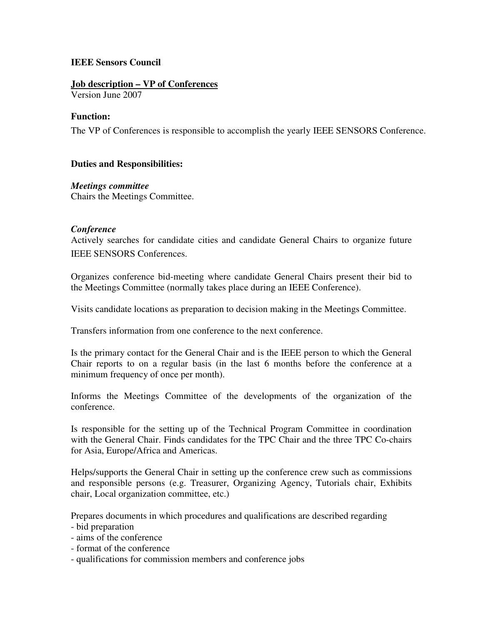# **IEEE Sensors Council**

### **Job description – VP of Conferences**

Version June 2007

## **Function:**

The VP of Conferences is responsible to accomplish the yearly IEEE SENSORS Conference.

# **Duties and Responsibilities:**

### *Meetings committee*

Chairs the Meetings Committee.

# *Conference*

Actively searches for candidate cities and candidate General Chairs to organize future IEEE SENSORS Conferences.

Organizes conference bid-meeting where candidate General Chairs present their bid to the Meetings Committee (normally takes place during an IEEE Conference).

Visits candidate locations as preparation to decision making in the Meetings Committee.

Transfers information from one conference to the next conference.

Is the primary contact for the General Chair and is the IEEE person to which the General Chair reports to on a regular basis (in the last 6 months before the conference at a minimum frequency of once per month).

Informs the Meetings Committee of the developments of the organization of the conference.

Is responsible for the setting up of the Technical Program Committee in coordination with the General Chair. Finds candidates for the TPC Chair and the three TPC Co-chairs for Asia, Europe/Africa and Americas.

Helps/supports the General Chair in setting up the conference crew such as commissions and responsible persons (e.g. Treasurer, Organizing Agency, Tutorials chair, Exhibits chair, Local organization committee, etc.)

Prepares documents in which procedures and qualifications are described regarding

- bid preparation
- aims of the conference
- format of the conference
- qualifications for commission members and conference jobs